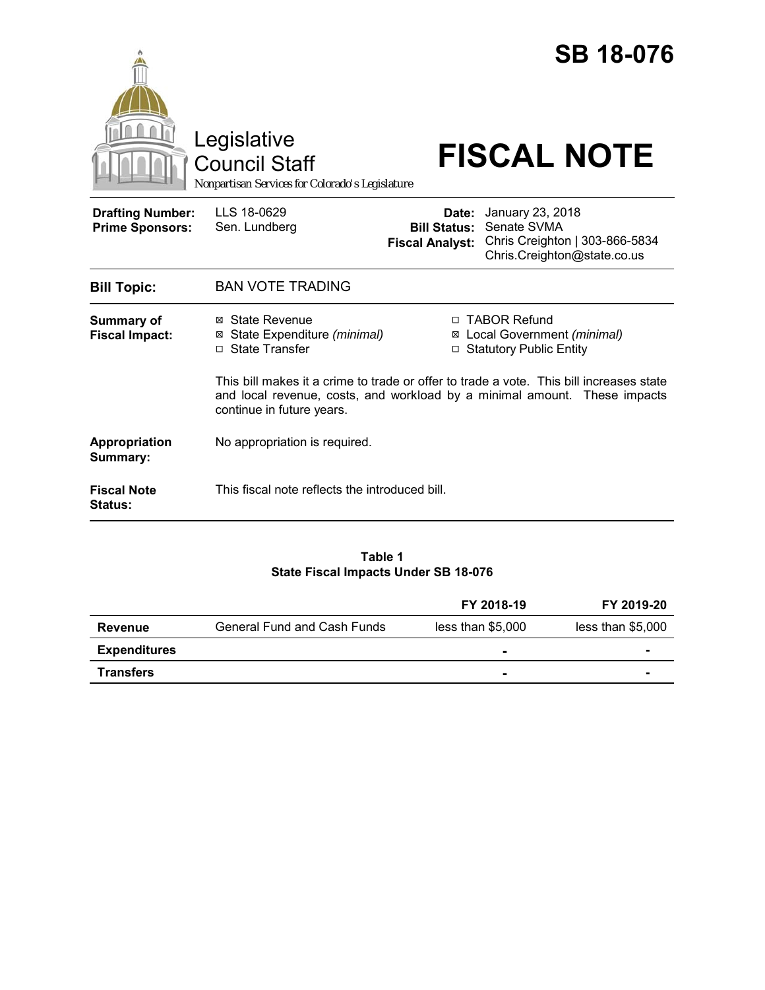|                                                   | Legislative<br><b>Council Staff</b><br>Nonpartisan Services for Colorado's Legislature                                                                                                            |                                                        | <b>SB 18-076</b><br><b>FISCAL NOTE</b>                                                           |
|---------------------------------------------------|---------------------------------------------------------------------------------------------------------------------------------------------------------------------------------------------------|--------------------------------------------------------|--------------------------------------------------------------------------------------------------|
| <b>Drafting Number:</b><br><b>Prime Sponsors:</b> | LLS 18-0629<br>Sen. Lundberg                                                                                                                                                                      | Date:<br><b>Bill Status:</b><br><b>Fiscal Analyst:</b> | January 23, 2018<br>Senate SVMA<br>Chris Creighton   303-866-5834<br>Chris.Creighton@state.co.us |
| <b>Bill Topic:</b>                                | <b>BAN VOTE TRADING</b>                                                                                                                                                                           |                                                        |                                                                                                  |
| <b>Summary of</b><br><b>Fiscal Impact:</b>        | <b>State Revenue</b><br>⊠<br>State Expenditure (minimal)<br>□ State Transfer                                                                                                                      | □<br>⊠<br>$\Box$                                       | <b>TABOR Refund</b><br>Local Government (minimal)<br><b>Statutory Public Entity</b>              |
|                                                   | This bill makes it a crime to trade or offer to trade a vote. This bill increases state<br>and local revenue, costs, and workload by a minimal amount. These impacts<br>continue in future years. |                                                        |                                                                                                  |
| <b>Appropriation</b><br>Summary:                  | No appropriation is required.                                                                                                                                                                     |                                                        |                                                                                                  |
| <b>Fiscal Note</b><br><b>Status:</b>              | This fiscal note reflects the introduced bill.                                                                                                                                                    |                                                        |                                                                                                  |

# **Table 1 State Fiscal Impacts Under SB 18-076**

|                     |                                    | FY 2018-19        | FY 2019-20        |
|---------------------|------------------------------------|-------------------|-------------------|
| Revenue             | <b>General Fund and Cash Funds</b> | less than \$5,000 | less than \$5,000 |
| <b>Expenditures</b> |                                    | -                 |                   |
| <b>Transfers</b>    |                                    | $\blacksquare$    |                   |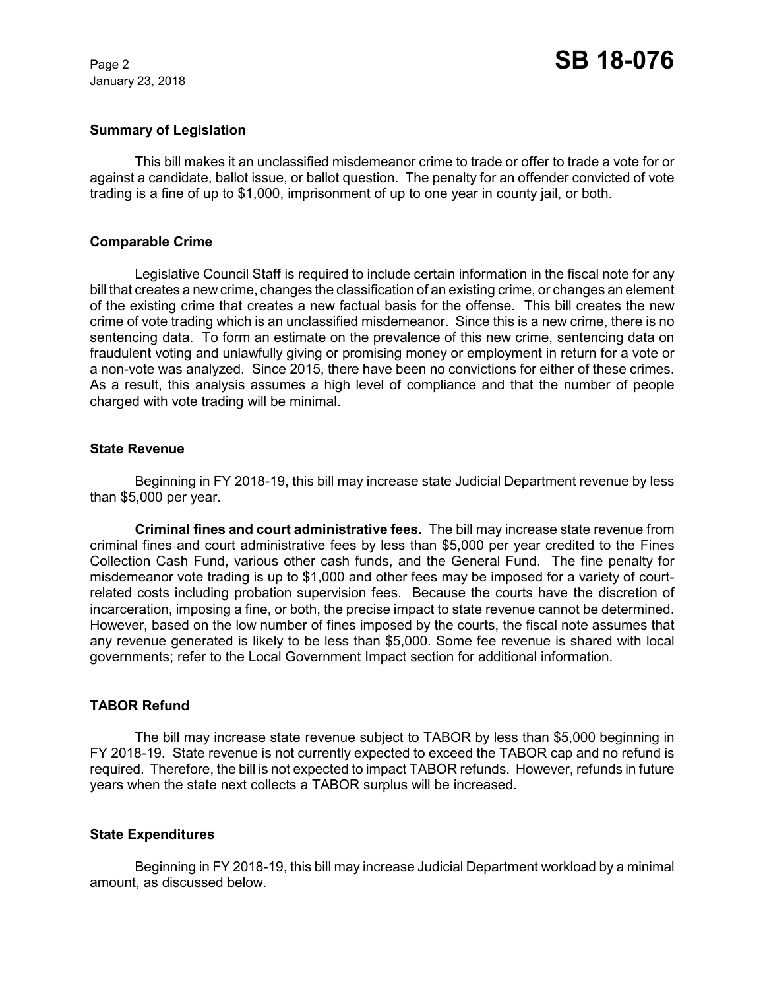January 23, 2018

# **Summary of Legislation**

This bill makes it an unclassified misdemeanor crime to trade or offer to trade a vote for or against a candidate, ballot issue, or ballot question. The penalty for an offender convicted of vote trading is a fine of up to \$1,000, imprisonment of up to one year in county jail, or both.

# **Comparable Crime**

Legislative Council Staff is required to include certain information in the fiscal note for any bill that creates a new crime, changes the classification of an existing crime, or changes an element of the existing crime that creates a new factual basis for the offense. This bill creates the new crime of vote trading which is an unclassified misdemeanor. Since this is a new crime, there is no sentencing data. To form an estimate on the prevalence of this new crime, sentencing data on fraudulent voting and unlawfully giving or promising money or employment in return for a vote or a non-vote was analyzed. Since 2015, there have been no convictions for either of these crimes. As a result, this analysis assumes a high level of compliance and that the number of people charged with vote trading will be minimal.

#### **State Revenue**

Beginning in FY 2018-19, this bill may increase state Judicial Department revenue by less than \$5,000 per year.

**Criminal fines and court administrative fees.** The bill may increase state revenue from criminal fines and court administrative fees by less than \$5,000 per year credited to the Fines Collection Cash Fund, various other cash funds, and the General Fund. The fine penalty for misdemeanor vote trading is up to \$1,000 and other fees may be imposed for a variety of courtrelated costs including probation supervision fees. Because the courts have the discretion of incarceration, imposing a fine, or both, the precise impact to state revenue cannot be determined. However, based on the low number of fines imposed by the courts, the fiscal note assumes that any revenue generated is likely to be less than \$5,000. Some fee revenue is shared with local governments; refer to the Local Government Impact section for additional information.

# **TABOR Refund**

The bill may increase state revenue subject to TABOR by less than \$5,000 beginning in FY 2018-19. State revenue is not currently expected to exceed the TABOR cap and no refund is required. Therefore, the bill is not expected to impact TABOR refunds. However, refunds in future years when the state next collects a TABOR surplus will be increased.

# **State Expenditures**

Beginning in FY 2018-19, this bill may increase Judicial Department workload by a minimal amount, as discussed below.